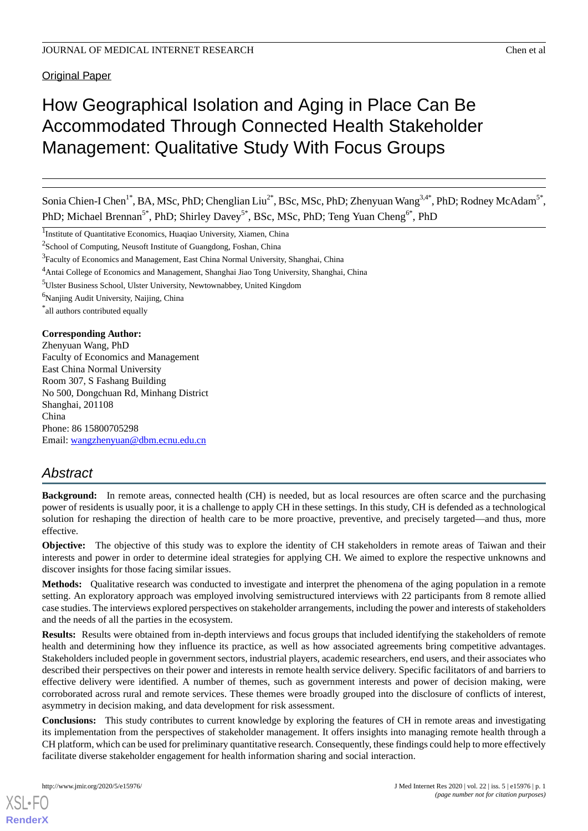**Original Paper** 

# How Geographical Isolation and Aging in Place Can Be Accommodated Through Connected Health Stakeholder Management: Qualitative Study With Focus Groups

Sonia Chien-I Chen<sup>1\*</sup>, BA, MSc, PhD; Chenglian Liu<sup>2\*</sup>, BSc, MSc, PhD; Zhenyuan Wang<sup>3,4\*</sup>, PhD; Rodney McAdam<sup>5\*</sup>, PhD; Michael Brennan<sup>5\*</sup>, PhD; Shirley Davey<sup>5\*</sup>, BSc, MSc, PhD; Teng Yuan Cheng<sup>6\*</sup>, PhD

<sup>1</sup>Institute of Quantitative Economics, Huaqiao University, Xiamen, China

<sup>2</sup>School of Computing, Neusoft Institute of Guangdong, Foshan, China

<sup>3</sup> Faculty of Economics and Management, East China Normal University, Shanghai, China

<sup>4</sup>Antai College of Economics and Management, Shanghai Jiao Tong University, Shanghai, China

<sup>5</sup>Ulster Business School, Ulster University, Newtownabbey, United Kingdom

<sup>6</sup>Nanjing Audit University, Naijing, China

\* all authors contributed equally

#### **Corresponding Author:**

Zhenyuan Wang, PhD Faculty of Economics and Management East China Normal University Room 307, S Fashang Building No 500, Dongchuan Rd, Minhang District Shanghai, 201108 China Phone: 86 15800705298 Email: [wangzhenyuan@dbm.ecnu.edu.cn](mailto:wangzhenyuan@dbm.ecnu.edu.cn)

## *Abstract*

**Background:** In remote areas, connected health (CH) is needed, but as local resources are often scarce and the purchasing power of residents is usually poor, it is a challenge to apply CH in these settings. In this study, CH is defended as a technological solution for reshaping the direction of health care to be more proactive, preventive, and precisely targeted—and thus, more effective.

**Objective:** The objective of this study was to explore the identity of CH stakeholders in remote areas of Taiwan and their interests and power in order to determine ideal strategies for applying CH. We aimed to explore the respective unknowns and discover insights for those facing similar issues.

**Methods:** Qualitative research was conducted to investigate and interpret the phenomena of the aging population in a remote setting. An exploratory approach was employed involving semistructured interviews with 22 participants from 8 remote allied case studies. The interviews explored perspectives on stakeholder arrangements, including the power and interests of stakeholders and the needs of all the parties in the ecosystem.

**Results:** Results were obtained from in-depth interviews and focus groups that included identifying the stakeholders of remote health and determining how they influence its practice, as well as how associated agreements bring competitive advantages. Stakeholders included people in government sectors, industrial players, academic researchers, end users, and their associates who described their perspectives on their power and interests in remote health service delivery. Specific facilitators of and barriers to effective delivery were identified. A number of themes, such as government interests and power of decision making, were corroborated across rural and remote services. These themes were broadly grouped into the disclosure of conflicts of interest, asymmetry in decision making, and data development for risk assessment.

**Conclusions:** This study contributes to current knowledge by exploring the features of CH in remote areas and investigating its implementation from the perspectives of stakeholder management. It offers insights into managing remote health through a CH platform, which can be used for preliminary quantitative research. Consequently, these findings could help to more effectively facilitate diverse stakeholder engagement for health information sharing and social interaction.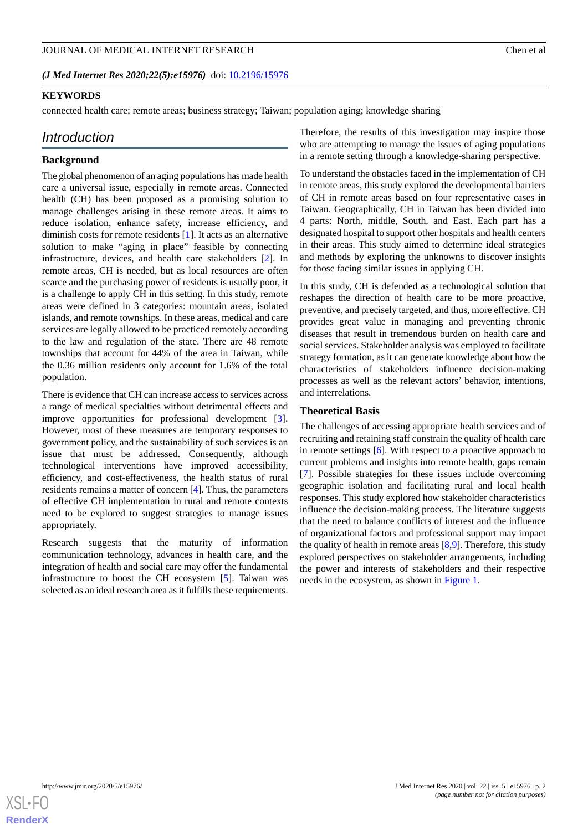*(J Med Internet Res 2020;22(5):e15976)* doi:  $10.2196/15976$ 

#### **KEYWORDS**

connected health care; remote areas; business strategy; Taiwan; population aging; knowledge sharing

## *Introduction*

## **Background**

The global phenomenon of an aging populations has made health care a universal issue, especially in remote areas. Connected health (CH) has been proposed as a promising solution to manage challenges arising in these remote areas. It aims to reduce isolation, enhance safety, increase efficiency, and diminish costs for remote residents [[1\]](#page-9-0). It acts as an alternative solution to make "aging in place" feasible by connecting infrastructure, devices, and health care stakeholders [[2\]](#page-9-1). In remote areas, CH is needed, but as local resources are often scarce and the purchasing power of residents is usually poor, it is a challenge to apply CH in this setting. In this study, remote areas were defined in 3 categories: mountain areas, isolated islands, and remote townships. In these areas, medical and care services are legally allowed to be practiced remotely according to the law and regulation of the state. There are 48 remote townships that account for 44% of the area in Taiwan, while the 0.36 million residents only account for 1.6% of the total population.

There is evidence that CH can increase access to services across a range of medical specialties without detrimental effects and improve opportunities for professional development [[3\]](#page-9-2). However, most of these measures are temporary responses to government policy, and the sustainability of such services is an issue that must be addressed. Consequently, although technological interventions have improved accessibility, efficiency, and cost-effectiveness, the health status of rural residents remains a matter of concern [[4\]](#page-9-3). Thus, the parameters of effective CH implementation in rural and remote contexts need to be explored to suggest strategies to manage issues appropriately.

Research suggests that the maturity of information communication technology, advances in health care, and the integration of health and social care may offer the fundamental infrastructure to boost the CH ecosystem [\[5](#page-9-4)]. Taiwan was selected as an ideal research area as it fulfills these requirements.

Therefore, the results of this investigation may inspire those who are attempting to manage the issues of aging populations in a remote setting through a knowledge-sharing perspective.

To understand the obstacles faced in the implementation of CH in remote areas, this study explored the developmental barriers of CH in remote areas based on four representative cases in Taiwan. Geographically, CH in Taiwan has been divided into 4 parts: North, middle, South, and East. Each part has a designated hospital to support other hospitals and health centers in their areas. This study aimed to determine ideal strategies and methods by exploring the unknowns to discover insights for those facing similar issues in applying CH.

In this study, CH is defended as a technological solution that reshapes the direction of health care to be more proactive, preventive, and precisely targeted, and thus, more effective. CH provides great value in managing and preventing chronic diseases that result in tremendous burden on health care and social services. Stakeholder analysis was employed to facilitate strategy formation, as it can generate knowledge about how the characteristics of stakeholders influence decision-making processes as well as the relevant actors' behavior, intentions, and interrelations.

## **Theoretical Basis**

The challenges of accessing appropriate health services and of recruiting and retaining staff constrain the quality of health care in remote settings [\[6](#page-9-5)]. With respect to a proactive approach to current problems and insights into remote health, gaps remain [[7\]](#page-9-6). Possible strategies for these issues include overcoming geographic isolation and facilitating rural and local health responses. This study explored how stakeholder characteristics influence the decision-making process. The literature suggests that the need to balance conflicts of interest and the influence of organizational factors and professional support may impact the quality of health in remote areas  $[8,9]$  $[8,9]$  $[8,9]$ . Therefore, this study explored perspectives on stakeholder arrangements, including the power and interests of stakeholders and their respective needs in the ecosystem, as shown in [Figure 1.](#page-2-0)

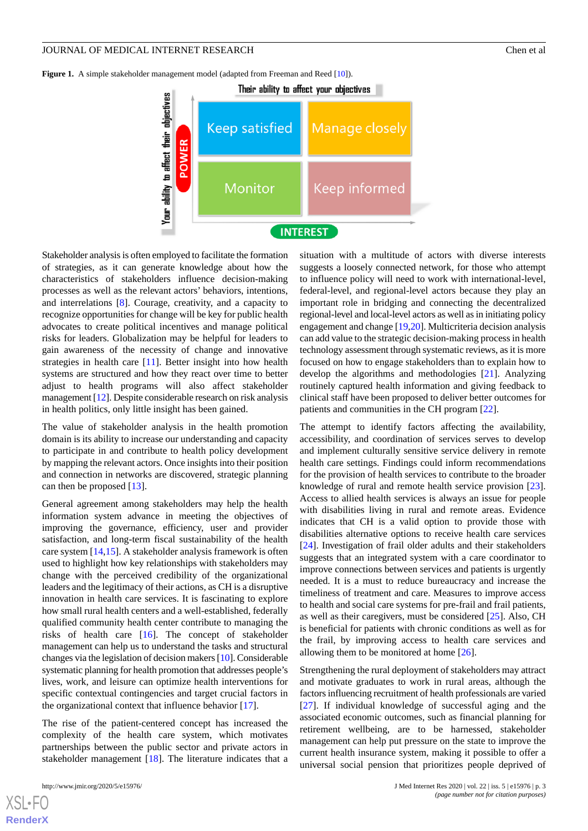<span id="page-2-0"></span>Figure 1. A simple stakeholder management model (adapted from Freeman and Reed [\[10\]](#page-10-1)).



Stakeholder analysis is often employed to facilitate the formation of strategies, as it can generate knowledge about how the characteristics of stakeholders influence decision-making processes as well as the relevant actors' behaviors, intentions, and interrelations [\[8](#page-9-7)]. Courage, creativity, and a capacity to recognize opportunities for change will be key for public health advocates to create political incentives and manage political risks for leaders. Globalization may be helpful for leaders to gain awareness of the necessity of change and innovative strategies in health care [[11\]](#page-10-2). Better insight into how health systems are structured and how they react over time to better adjust to health programs will also affect stakeholder management [[12](#page-10-3)]. Despite considerable research on risk analysis in health politics, only little insight has been gained.

The value of stakeholder analysis in the health promotion domain is its ability to increase our understanding and capacity to participate in and contribute to health policy development by mapping the relevant actors. Once insights into their position and connection in networks are discovered, strategic planning can then be proposed [\[13](#page-10-4)].

General agreement among stakeholders may help the health information system advance in meeting the objectives of improving the governance, efficiency, user and provider satisfaction, and long-term fiscal sustainability of the health care system [\[14](#page-10-5),[15\]](#page-10-6). A stakeholder analysis framework is often used to highlight how key relationships with stakeholders may change with the perceived credibility of the organizational leaders and the legitimacy of their actions, as CH is a disruptive innovation in health care services. It is fascinating to explore how small rural health centers and a well-established, federally qualified community health center contribute to managing the risks of health care [\[16](#page-10-7)]. The concept of stakeholder management can help us to understand the tasks and structural changes via the legislation of decision makers [\[10\]](#page-10-1). Considerable systematic planning for health promotion that addresses people's lives, work, and leisure can optimize health interventions for specific contextual contingencies and target crucial factors in the organizational context that influence behavior [\[17](#page-10-8)].

The rise of the patient-centered concept has increased the complexity of the health care system, which motivates partnerships between the public sector and private actors in stakeholder management [\[18](#page-10-9)]. The literature indicates that a

[XSL](http://www.w3.org/Style/XSL)•FO **[RenderX](http://www.renderx.com/)**

situation with a multitude of actors with diverse interests suggests a loosely connected network, for those who attempt to influence policy will need to work with international-level, federal-level, and regional-level actors because they play an important role in bridging and connecting the decentralized regional-level and local-level actors as well as in initiating policy engagement and change [\[19](#page-10-10),[20\]](#page-10-11). Multicriteria decision analysis can add value to the strategic decision-making process in health technology assessment through systematic reviews, as it is more focused on how to engage stakeholders than to explain how to develop the algorithms and methodologies [\[21](#page-10-12)]. Analyzing routinely captured health information and giving feedback to clinical staff have been proposed to deliver better outcomes for patients and communities in the CH program [[22\]](#page-10-13).

The attempt to identify factors affecting the availability, accessibility, and coordination of services serves to develop and implement culturally sensitive service delivery in remote health care settings. Findings could inform recommendations for the provision of health services to contribute to the broader knowledge of rural and remote health service provision [[23\]](#page-10-14). Access to allied health services is always an issue for people with disabilities living in rural and remote areas. Evidence indicates that CH is a valid option to provide those with disabilities alternative options to receive health care services [[24\]](#page-10-15). Investigation of frail older adults and their stakeholders suggests that an integrated system with a care coordinator to improve connections between services and patients is urgently needed. It is a must to reduce bureaucracy and increase the timeliness of treatment and care. Measures to improve access to health and social care systems for pre-frail and frail patients, as well as their caregivers, must be considered [\[25](#page-10-16)]. Also, CH is beneficial for patients with chronic conditions as well as for the frail, by improving access to health care services and allowing them to be monitored at home [[26\]](#page-10-17).

Strengthening the rural deployment of stakeholders may attract and motivate graduates to work in rural areas, although the factors influencing recruitment of health professionals are varied [[27\]](#page-10-18). If individual knowledge of successful aging and the associated economic outcomes, such as financial planning for retirement wellbeing, are to be harnessed, stakeholder management can help put pressure on the state to improve the current health insurance system, making it possible to offer a universal social pension that prioritizes people deprived of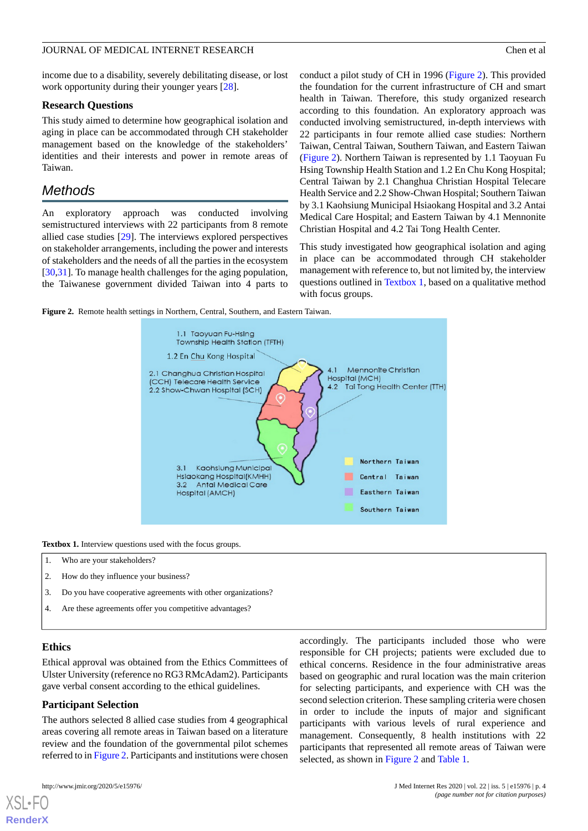income due to a disability, severely debilitating disease, or lost work opportunity during their younger years [\[28](#page-10-19)].

### **Research Questions**

This study aimed to determine how geographical isolation and aging in place can be accommodated through CH stakeholder management based on the knowledge of the stakeholders' identities and their interests and power in remote areas of Taiwan.

## *Methods*

An exploratory approach was conducted involving semistructured interviews with 22 participants from 8 remote allied case studies [\[29](#page-10-20)]. The interviews explored perspectives on stakeholder arrangements, including the power and interests of stakeholders and the needs of all the parties in the ecosystem [[30](#page-10-21)[,31](#page-10-22)]. To manage health challenges for the aging population, the Taiwanese government divided Taiwan into 4 parts to conduct a pilot study of CH in 1996 ([Figure 2](#page-3-0)). This provided the foundation for the current infrastructure of CH and smart health in Taiwan. Therefore, this study organized research according to this foundation. An exploratory approach was conducted involving semistructured, in-depth interviews with 22 participants in four remote allied case studies: Northern Taiwan, Central Taiwan, Southern Taiwan, and Eastern Taiwan ([Figure 2\)](#page-3-0). Northern Taiwan is represented by 1.1 Taoyuan Fu Hsing Township Health Station and 1.2 En Chu Kong Hospital; Central Taiwan by 2.1 Changhua Christian Hospital Telecare Health Service and 2.2 Show-Chwan Hospital; Southern Taiwan by 3.1 Kaohsiung Municipal Hsiaokang Hospital and 3.2 Antai Medical Care Hospital; and Eastern Taiwan by 4.1 Mennonite Christian Hospital and 4.2 Tai Tong Health Center.

This study investigated how geographical isolation and aging in place can be accommodated through CH stakeholder management with reference to, but not limited by, the interview questions outlined in [Textbox 1](#page-3-1), based on a qualitative method with focus groups.

<span id="page-3-0"></span>**Figure 2.** Remote health settings in Northern, Central, Southern, and Eastern Taiwan.



<span id="page-3-1"></span>**Textbox 1.** Interview questions used with the focus groups.

- 1. Who are your stakeholders?
- 2. How do they influence your business?
- 3. Do you have cooperative agreements with other organizations?
- 4. Are these agreements offer you competitive advantages?

## **Ethics**

[XSL](http://www.w3.org/Style/XSL)•FO **[RenderX](http://www.renderx.com/)**

Ethical approval was obtained from the Ethics Committees of Ulster University (reference no RG3 RMcAdam2). Participants gave verbal consent according to the ethical guidelines.

#### **Participant Selection**

The authors selected 8 allied case studies from 4 geographical areas covering all remote areas in Taiwan based on a literature review and the foundation of the governmental pilot schemes referred to in [Figure 2.](#page-3-0) Participants and institutions were chosen

accordingly. The participants included those who were responsible for CH projects; patients were excluded due to ethical concerns. Residence in the four administrative areas based on geographic and rural location was the main criterion for selecting participants, and experience with CH was the second selection criterion. These sampling criteria were chosen in order to include the inputs of major and significant participants with various levels of rural experience and management. Consequently, 8 health institutions with 22 participants that represented all remote areas of Taiwan were selected, as shown in [Figure 2](#page-3-0) and [Table 1.](#page-4-0)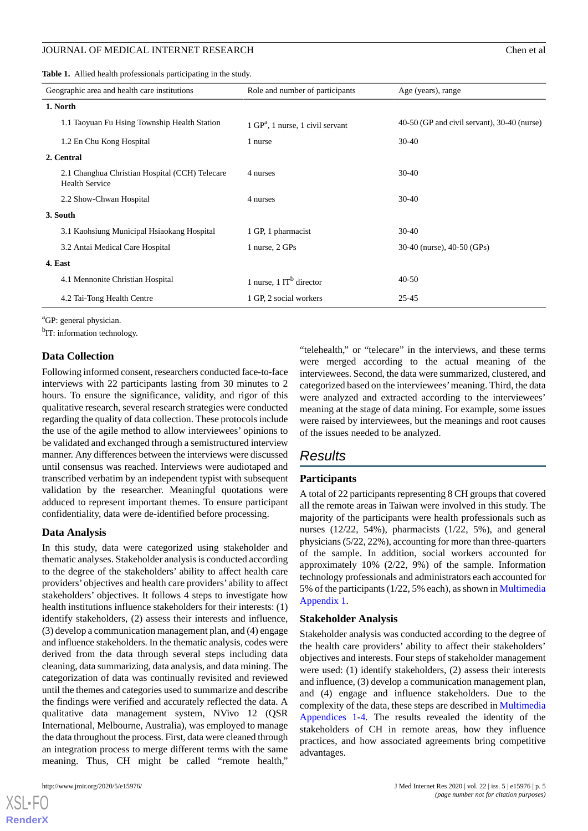#### JOURNAL OF MEDICAL INTERNET RESEARCH Chen et al. Chen et al.

<span id="page-4-0"></span>**Table 1.** Allied health professionals participating in the study.

| Geographic area and health care institutions                            | Role and number of participants             | Age (years), range                            |
|-------------------------------------------------------------------------|---------------------------------------------|-----------------------------------------------|
| 1. North                                                                |                                             |                                               |
| 1.1 Taoyuan Fu Hsing Township Health Station                            | $1 \text{ GP}^a$ , 1 nurse, 1 civil servant | $40-50$ (GP and civil servant), 30-40 (nurse) |
| 1.2 En Chu Kong Hospital                                                | 1 nurse                                     | $30-40$                                       |
| 2. Central                                                              |                                             |                                               |
| 2.1 Changhua Christian Hospital (CCH) Telecare<br><b>Health Service</b> | 4 nurses                                    | $30-40$                                       |
| 2.2 Show-Chwan Hospital                                                 | 4 nurses                                    | $30-40$                                       |
| 3. South                                                                |                                             |                                               |
| 3.1 Kaohsiung Municipal Hsiaokang Hospital                              | 1 GP, 1 pharmacist                          | $30-40$                                       |
| 3.2 Antai Medical Care Hospital                                         | 1 nurse, 2 GPs                              | 30-40 (nurse), 40-50 (GPs)                    |
| 4. East                                                                 |                                             |                                               |
| 4.1 Mennonite Christian Hospital                                        | 1 nurse, $1 \text{ IT}^b$ director          | $40 - 50$                                     |
| 4.2 Tai-Tong Health Centre                                              | 1 GP, 2 social workers                      | $25 - 45$                                     |

<sup>a</sup>GP: general physician.

<sup>b</sup>IT: information technology.

#### **Data Collection**

Following informed consent, researchers conducted face-to-face interviews with 22 participants lasting from 30 minutes to 2 hours. To ensure the significance, validity, and rigor of this qualitative research, several research strategies were conducted regarding the quality of data collection. These protocols include the use of the agile method to allow interviewees' opinions to be validated and exchanged through a semistructured interview manner. Any differences between the interviews were discussed until consensus was reached. Interviews were audiotaped and transcribed verbatim by an independent typist with subsequent validation by the researcher. Meaningful quotations were adduced to represent important themes. To ensure participant confidentiality, data were de-identified before processing.

#### **Data Analysis**

In this study, data were categorized using stakeholder and thematic analyses. Stakeholder analysis is conducted according to the degree of the stakeholders' ability to affect health care providers' objectives and health care providers' ability to affect stakeholders' objectives. It follows 4 steps to investigate how health institutions influence stakeholders for their interests: (1) identify stakeholders, (2) assess their interests and influence, (3) develop a communication management plan, and (4) engage and influence stakeholders. In the thematic analysis, codes were derived from the data through several steps including data cleaning, data summarizing, data analysis, and data mining. The categorization of data was continually revisited and reviewed until the themes and categories used to summarize and describe the findings were verified and accurately reflected the data. A qualitative data management system, NVivo 12 (QSR International, Melbourne, Australia), was employed to manage the data throughout the process. First, data were cleaned through an integration process to merge different terms with the same meaning. Thus, CH might be called "remote health,"

[XSL](http://www.w3.org/Style/XSL)•FO **[RenderX](http://www.renderx.com/)**

"telehealth," or "telecare" in the interviews, and these terms were merged according to the actual meaning of the interviewees. Second, the data were summarized, clustered, and categorized based on the interviewees'meaning. Third, the data were analyzed and extracted according to the interviewees' meaning at the stage of data mining. For example, some issues were raised by interviewees, but the meanings and root causes of the issues needed to be analyzed.

## *Results*

#### **Participants**

A total of 22 participants representing 8 CH groups that covered all the remote areas in Taiwan were involved in this study. The majority of the participants were health professionals such as nurses (12/22, 54%), pharmacists (1/22, 5%), and general physicians (5/22, 22%), accounting for more than three-quarters of the sample. In addition, social workers accounted for approximately 10% (2/22, 9%) of the sample. Information technology professionals and administrators each accounted for 5% of the participants (1/22, 5% each), as shown in [Multimedia](#page-9-8) [Appendix 1.](#page-9-8)

#### **Stakeholder Analysis**

Stakeholder analysis was conducted according to the degree of the health care providers' ability to affect their stakeholders' objectives and interests. Four steps of stakeholder management were used: (1) identify stakeholders, (2) assess their interests and influence, (3) develop a communication management plan, and (4) engage and influence stakeholders. Due to the complexity of the data, these steps are described in [Multimedia](#page-9-8) [Appendices 1-](#page-9-8)[4](#page-9-9). The results revealed the identity of the stakeholders of CH in remote areas, how they influence practices, and how associated agreements bring competitive advantages.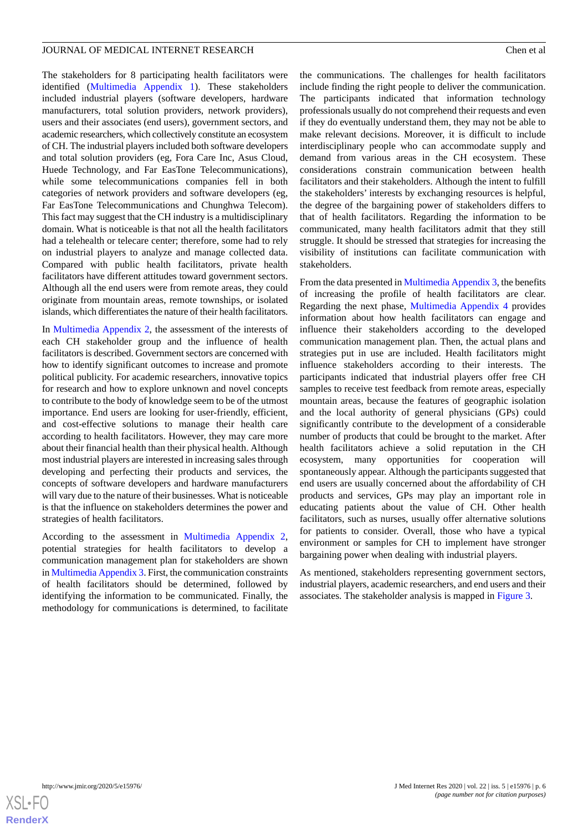The stakeholders for 8 participating health facilitators were identified [\(Multimedia Appendix 1](#page-9-8)). These stakeholders included industrial players (software developers, hardware manufacturers, total solution providers, network providers), users and their associates (end users), government sectors, and academic researchers, which collectively constitute an ecosystem of CH. The industrial players included both software developers and total solution providers (eg, Fora Care Inc, Asus Cloud, Huede Technology, and Far EasTone Telecommunications), while some telecommunications companies fell in both categories of network providers and software developers (eg, Far EasTone Telecommunications and Chunghwa Telecom). This fact may suggest that the CH industry is a multidisciplinary domain. What is noticeable is that not all the health facilitators had a telehealth or telecare center; therefore, some had to rely on industrial players to analyze and manage collected data. Compared with public health facilitators, private health facilitators have different attitudes toward government sectors. Although all the end users were from remote areas, they could originate from mountain areas, remote townships, or isolated islands, which differentiates the nature of their health facilitators.

In [Multimedia Appendix 2](#page-9-10), the assessment of the interests of each CH stakeholder group and the influence of health facilitators is described. Government sectors are concerned with how to identify significant outcomes to increase and promote political publicity. For academic researchers, innovative topics for research and how to explore unknown and novel concepts to contribute to the body of knowledge seem to be of the utmost importance. End users are looking for user-friendly, efficient, and cost-effective solutions to manage their health care according to health facilitators. However, they may care more about their financial health than their physical health. Although most industrial players are interested in increasing sales through developing and perfecting their products and services, the concepts of software developers and hardware manufacturers will vary due to the nature of their businesses. What is noticeable is that the influence on stakeholders determines the power and strategies of health facilitators.

According to the assessment in [Multimedia Appendix 2](#page-9-10), potential strategies for health facilitators to develop a communication management plan for stakeholders are shown in [Multimedia Appendix 3.](#page-9-11) First, the communication constraints of health facilitators should be determined, followed by identifying the information to be communicated. Finally, the methodology for communications is determined, to facilitate

the communications. The challenges for health facilitators include finding the right people to deliver the communication. The participants indicated that information technology professionals usually do not comprehend their requests and even if they do eventually understand them, they may not be able to make relevant decisions. Moreover, it is difficult to include interdisciplinary people who can accommodate supply and demand from various areas in the CH ecosystem. These considerations constrain communication between health facilitators and their stakeholders. Although the intent to fulfill the stakeholders' interests by exchanging resources is helpful, the degree of the bargaining power of stakeholders differs to that of health facilitators. Regarding the information to be communicated, many health facilitators admit that they still struggle. It should be stressed that strategies for increasing the visibility of institutions can facilitate communication with stakeholders.

From the data presented in [Multimedia Appendix 3](#page-9-11), the benefits of increasing the profile of health facilitators are clear. Regarding the next phase, [Multimedia Appendix 4](#page-9-9) provides information about how health facilitators can engage and influence their stakeholders according to the developed communication management plan. Then, the actual plans and strategies put in use are included. Health facilitators might influence stakeholders according to their interests. The participants indicated that industrial players offer free CH samples to receive test feedback from remote areas, especially mountain areas, because the features of geographic isolation and the local authority of general physicians (GPs) could significantly contribute to the development of a considerable number of products that could be brought to the market. After health facilitators achieve a solid reputation in the CH ecosystem, many opportunities for cooperation will spontaneously appear. Although the participants suggested that end users are usually concerned about the affordability of CH products and services, GPs may play an important role in educating patients about the value of CH. Other health facilitators, such as nurses, usually offer alternative solutions for patients to consider. Overall, those who have a typical environment or samples for CH to implement have stronger bargaining power when dealing with industrial players.

As mentioned, stakeholders representing government sectors, industrial players, academic researchers, and end users and their associates. The stakeholder analysis is mapped in [Figure 3](#page-6-0).

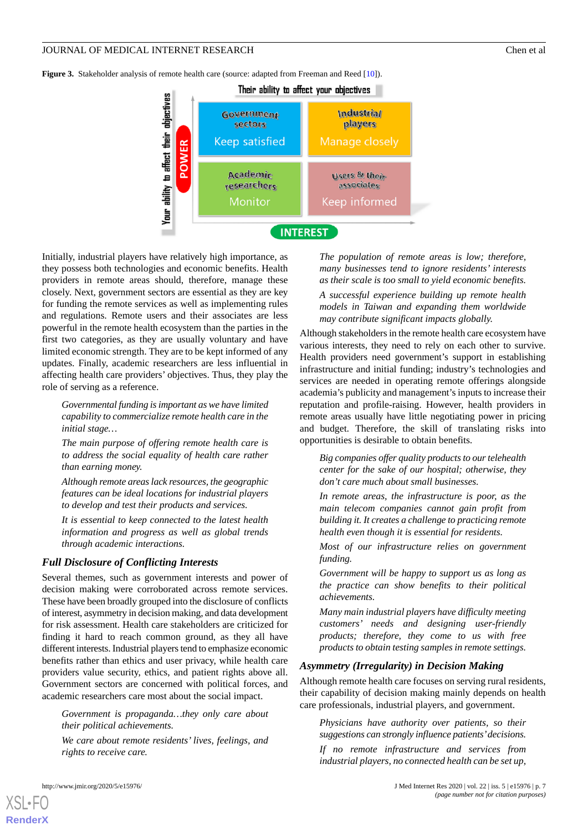<span id="page-6-0"></span>**Figure 3.** Stakeholder analysis of remote health care (source: adapted from Freeman and Reed [[10](#page-10-1)]).



Initially, industrial players have relatively high importance, as they possess both technologies and economic benefits. Health providers in remote areas should, therefore, manage these closely. Next, government sectors are essential as they are key for funding the remote services as well as implementing rules and regulations. Remote users and their associates are less powerful in the remote health ecosystem than the parties in the first two categories, as they are usually voluntary and have limited economic strength. They are to be kept informed of any updates. Finally, academic researchers are less influential in affecting health care providers' objectives. Thus, they play the role of serving as a reference.

*Governmental funding is important as we have limited capability to commercialize remote health care in the initial stage…*

*The main purpose of offering remote health care is to address the social equality of health care rather than earning money.*

*Although remote areas lack resources, the geographic features can be ideal locations for industrial players to develop and test their products and services.*

*It is essential to keep connected to the latest health information and progress as well as global trends through academic interactions.*

#### *Full Disclosure of Conflicting Interests*

Several themes, such as government interests and power of decision making were corroborated across remote services. These have been broadly grouped into the disclosure of conflicts of interest, asymmetry in decision making, and data development for risk assessment. Health care stakeholders are criticized for finding it hard to reach common ground, as they all have different interests. Industrial players tend to emphasize economic benefits rather than ethics and user privacy, while health care providers value security, ethics, and patient rights above all. Government sectors are concerned with political forces, and academic researchers care most about the social impact.

*Government is propaganda…they only care about their political achievements.*

*We care about remote residents' lives, feelings, and rights to receive care.*

*The population of remote areas is low; therefore, many businesses tend to ignore residents' interests as their scale is too small to yield economic benefits. A successful experience building up remote health models in Taiwan and expanding them worldwide may contribute significant impacts globally.*

Although stakeholders in the remote health care ecosystem have various interests, they need to rely on each other to survive. Health providers need government's support in establishing infrastructure and initial funding; industry's technologies and services are needed in operating remote offerings alongside academia's publicity and management's inputs to increase their reputation and profile-raising. However, health providers in remote areas usually have little negotiating power in pricing and budget. Therefore, the skill of translating risks into opportunities is desirable to obtain benefits.

*Big companies offer quality products to our telehealth center for the sake of our hospital; otherwise, they don't care much about small businesses.*

*In remote areas, the infrastructure is poor, as the main telecom companies cannot gain profit from building it. It creates a challenge to practicing remote health even though it is essential for residents.*

*Most of our infrastructure relies on government funding.*

*Government will be happy to support us as long as the practice can show benefits to their political achievements.*

*Many main industrial players have difficulty meeting customers' needs and designing user-friendly products; therefore, they come to us with free products to obtain testing samples in remote settings.*

#### *Asymmetry (Irregularity) in Decision Making*

Although remote health care focuses on serving rural residents, their capability of decision making mainly depends on health care professionals, industrial players, and government.

*Physicians have authority over patients, so their suggestions can strongly influence patients'decisions.*

*If no remote infrastructure and services from industrial players, no connected health can be set up,*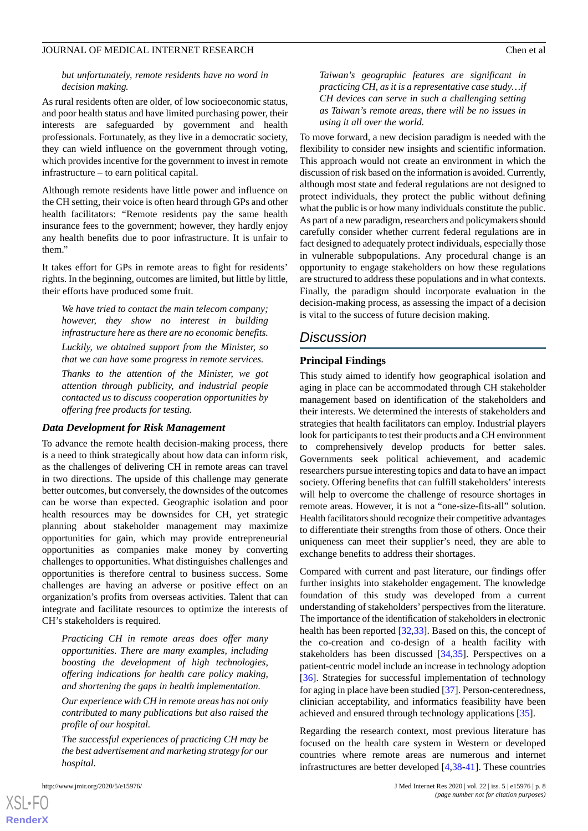#### *but unfortunately, remote residents have no word in decision making.*

As rural residents often are older, of low socioeconomic status, and poor health status and have limited purchasing power, their interests are safeguarded by government and health professionals. Fortunately, as they live in a democratic society, they can wield influence on the government through voting, which provides incentive for the government to invest in remote infrastructure – to earn political capital.

Although remote residents have little power and influence on the CH setting, their voice is often heard through GPs and other health facilitators: *"*Remote residents pay the same health insurance fees to the government; however, they hardly enjoy any health benefits due to poor infrastructure. It is unfair to them."

It takes effort for GPs in remote areas to fight for residents' rights. In the beginning, outcomes are limited, but little by little, their efforts have produced some fruit.

*We have tried to contact the main telecom company; however, they show no interest in building infrastructure here as there are no economic benefits.*

*Luckily, we obtained support from the Minister, so that we can have some progress in remote services.*

*Thanks to the attention of the Minister, we got attention through publicity, and industrial people contacted us to discuss cooperation opportunities by offering free products for testing.*

#### *Data Development for Risk Management*

To advance the remote health decision-making process, there is a need to think strategically about how data can inform risk, as the challenges of delivering CH in remote areas can travel in two directions. The upside of this challenge may generate better outcomes, but conversely, the downsides of the outcomes can be worse than expected. Geographic isolation and poor health resources may be downsides for CH, yet strategic planning about stakeholder management may maximize opportunities for gain, which may provide entrepreneurial opportunities as companies make money by converting challenges to opportunities. What distinguishes challenges and opportunities is therefore central to business success. Some challenges are having an adverse or positive effect on an organization's profits from overseas activities. Talent that can integrate and facilitate resources to optimize the interests of CH's stakeholders is required.

*Practicing CH in remote areas does offer many opportunities. There are many examples, including boosting the development of high technologies, offering indications for health care policy making, and shortening the gaps in health implementation.*

*Our experience with CH in remote areas has not only contributed to many publications but also raised the profile of our hospital.*

*The successful experiences of practicing CH may be the best advertisement and marketing strategy for our hospital.*

[XSL](http://www.w3.org/Style/XSL)•FO **[RenderX](http://www.renderx.com/)**

*Taiwan's geographic features are significant in practicing CH, as it is a representative case study…if CH devices can serve in such a challenging setting as Taiwan's remote areas, there will be no issues in using it all over the world.*

To move forward, a new decision paradigm is needed with the flexibility to consider new insights and scientific information. This approach would not create an environment in which the discussion of risk based on the information is avoided. Currently, although most state and federal regulations are not designed to protect individuals, they protect the public without defining what the public is or how many individuals constitute the public. As part of a new paradigm, researchers and policymakers should carefully consider whether current federal regulations are in fact designed to adequately protect individuals, especially those in vulnerable subpopulations. Any procedural change is an opportunity to engage stakeholders on how these regulations are structured to address these populations and in what contexts. Finally, the paradigm should incorporate evaluation in the decision-making process, as assessing the impact of a decision is vital to the success of future decision making.

## *Discussion*

## **Principal Findings**

This study aimed to identify how geographical isolation and aging in place can be accommodated through CH stakeholder management based on identification of the stakeholders and their interests. We determined the interests of stakeholders and strategies that health facilitators can employ. Industrial players look for participants to test their products and a CH environment to comprehensively develop products for better sales. Governments seek political achievement, and academic researchers pursue interesting topics and data to have an impact society. Offering benefits that can fulfill stakeholders'interests will help to overcome the challenge of resource shortages in remote areas. However, it is not a "one-size-fits-all" solution. Health facilitators should recognize their competitive advantages to differentiate their strengths from those of others. Once their uniqueness can meet their supplier's need, they are able to exchange benefits to address their shortages.

Compared with current and past literature, our findings offer further insights into stakeholder engagement. The knowledge foundation of this study was developed from a current understanding of stakeholders' perspectives from the literature. The importance of the identification of stakeholders in electronic health has been reported [[32,](#page-10-23)[33](#page-11-0)]. Based on this, the concept of the co-creation and co-design of a health facility with stakeholders has been discussed [\[34](#page-11-1),[35\]](#page-11-2). Perspectives on a patient-centric model include an increase in technology adoption [[36\]](#page-11-3). Strategies for successful implementation of technology for aging in place have been studied [[37\]](#page-11-4). Person-centeredness, clinician acceptability, and informatics feasibility have been achieved and ensured through technology applications [\[35](#page-11-2)].

Regarding the research context, most previous literature has focused on the health care system in Western or developed countries where remote areas are numerous and internet infrastructures are better developed [\[4,](#page-9-3)[38](#page-11-5)[-41](#page-11-6)]. These countries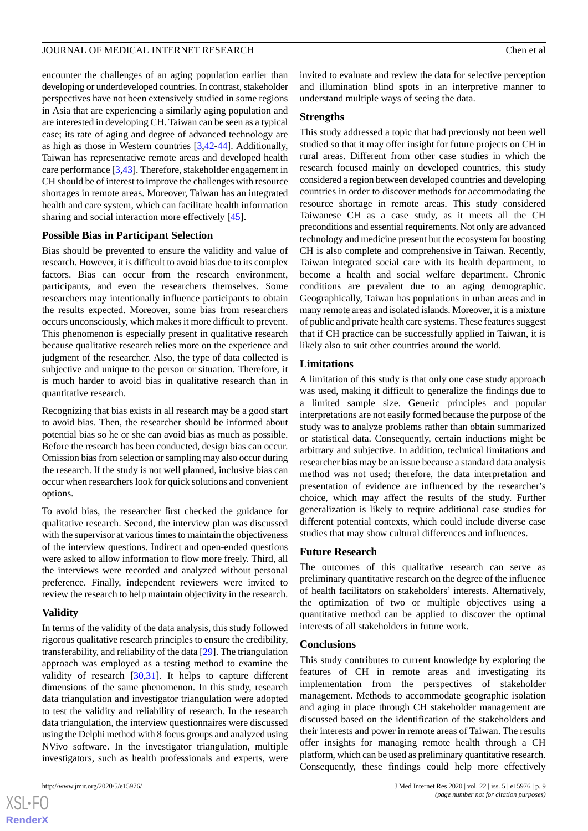encounter the challenges of an aging population earlier than developing or underdeveloped countries. In contrast, stakeholder perspectives have not been extensively studied in some regions in Asia that are experiencing a similarly aging population and are interested in developing CH. Taiwan can be seen as a typical case; its rate of aging and degree of advanced technology are as high as those in Western countries [[3](#page-9-2)[,42](#page-11-7)[-44](#page-11-8)]. Additionally, Taiwan has representative remote areas and developed health care performance [[3](#page-9-2)[,43](#page-11-9)]. Therefore, stakeholder engagement in CH should be of interest to improve the challenges with resource shortages in remote areas. Moreover, Taiwan has an integrated health and care system, which can facilitate health information sharing and social interaction more effectively [[45\]](#page-11-10).

#### **Possible Bias in Participant Selection**

Bias should be prevented to ensure the validity and value of research. However, it is difficult to avoid bias due to its complex factors. Bias can occur from the research environment, participants, and even the researchers themselves. Some researchers may intentionally influence participants to obtain the results expected. Moreover, some bias from researchers occurs unconsciously, which makes it more difficult to prevent. This phenomenon is especially present in qualitative research because qualitative research relies more on the experience and judgment of the researcher. Also, the type of data collected is subjective and unique to the person or situation. Therefore, it is much harder to avoid bias in qualitative research than in quantitative research.

Recognizing that bias exists in all research may be a good start to avoid bias. Then, the researcher should be informed about potential bias so he or she can avoid bias as much as possible. Before the research has been conducted, design bias can occur. Omission bias from selection or sampling may also occur during the research. If the study is not well planned, inclusive bias can occur when researchers look for quick solutions and convenient options.

To avoid bias, the researcher first checked the guidance for qualitative research. Second, the interview plan was discussed with the supervisor at various times to maintain the objectiveness of the interview questions. Indirect and open-ended questions were asked to allow information to flow more freely. Third, all the interviews were recorded and analyzed without personal preference. Finally, independent reviewers were invited to review the research to help maintain objectivity in the research.

#### **Validity**

In terms of the validity of the data analysis, this study followed rigorous qualitative research principles to ensure the credibility, transferability, and reliability of the data [[29\]](#page-10-20). The triangulation approach was employed as a testing method to examine the validity of research [\[30](#page-10-21),[31\]](#page-10-22). It helps to capture different dimensions of the same phenomenon. In this study, research data triangulation and investigator triangulation were adopted to test the validity and reliability of research. In the research data triangulation, the interview questionnaires were discussed using the Delphi method with 8 focus groups and analyzed using NVivo software. In the investigator triangulation, multiple investigators, such as health professionals and experts, were

 $XS$  $\cdot$ FC **[RenderX](http://www.renderx.com/)** invited to evaluate and review the data for selective perception and illumination blind spots in an interpretive manner to understand multiple ways of seeing the data.

#### **Strengths**

This study addressed a topic that had previously not been well studied so that it may offer insight for future projects on CH in rural areas. Different from other case studies in which the research focused mainly on developed countries, this study considered a region between developed countries and developing countries in order to discover methods for accommodating the resource shortage in remote areas. This study considered Taiwanese CH as a case study, as it meets all the CH preconditions and essential requirements. Not only are advanced technology and medicine present but the ecosystem for boosting CH is also complete and comprehensive in Taiwan. Recently, Taiwan integrated social care with its health department, to become a health and social welfare department. Chronic conditions are prevalent due to an aging demographic. Geographically, Taiwan has populations in urban areas and in many remote areas and isolated islands. Moreover, it is a mixture of public and private health care systems. These features suggest that if CH practice can be successfully applied in Taiwan, it is likely also to suit other countries around the world.

#### **Limitations**

A limitation of this study is that only one case study approach was used, making it difficult to generalize the findings due to a limited sample size. Generic principles and popular interpretations are not easily formed because the purpose of the study was to analyze problems rather than obtain summarized or statistical data. Consequently, certain inductions might be arbitrary and subjective. In addition, technical limitations and researcher bias may be an issue because a standard data analysis method was not used; therefore, the data interpretation and presentation of evidence are influenced by the researcher's choice, which may affect the results of the study. Further generalization is likely to require additional case studies for different potential contexts, which could include diverse case studies that may show cultural differences and influences.

#### **Future Research**

The outcomes of this qualitative research can serve as preliminary quantitative research on the degree of the influence of health facilitators on stakeholders' interests. Alternatively, the optimization of two or multiple objectives using a quantitative method can be applied to discover the optimal interests of all stakeholders in future work.

#### **Conclusions**

This study contributes to current knowledge by exploring the features of CH in remote areas and investigating its implementation from the perspectives of stakeholder management. Methods to accommodate geographic isolation and aging in place through CH stakeholder management are discussed based on the identification of the stakeholders and their interests and power in remote areas of Taiwan. The results offer insights for managing remote health through a CH platform, which can be used as preliminary quantitative research. Consequently, these findings could help more effectively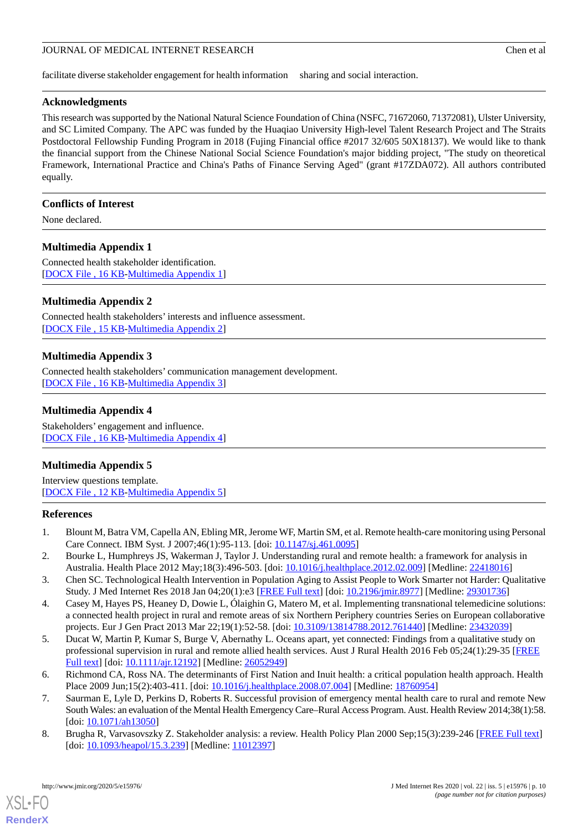facilitate diverse stakeholder engagement for health information sharing and social interaction.

## **Acknowledgments**

This research was supported by the National Natural Science Foundation of China (NSFC, 71672060, 71372081), Ulster University, and SC Limited Company. The APC was funded by the Huaqiao University High-level Talent Research Project and The Straits Postdoctoral Fellowship Funding Program in 2018 (Fujing Financial office #2017 32/605 50X18137). We would like to thank the financial support from the Chinese National Social Science Foundation's major bidding project, "The study on theoretical Framework, International Practice and China's Paths of Finance Serving Aged" (grant #17ZDA072). All authors contributed equally.

### **Conflicts of Interest**

<span id="page-9-8"></span>None declared.

## **Multimedia Appendix 1**

<span id="page-9-10"></span>Connected health stakeholder identification. [[DOCX File , 16 KB](https://jmir.org/api/download?alt_name=jmir_v22i5e15976_app1.docx&filename=97c53c0abcca8961a4682dff2fa75d0f.docx)-[Multimedia Appendix 1\]](https://jmir.org/api/download?alt_name=jmir_v22i5e15976_app1.docx&filename=97c53c0abcca8961a4682dff2fa75d0f.docx)

## **Multimedia Appendix 2**

<span id="page-9-11"></span>Connected health stakeholders' interests and influence assessment. [[DOCX File , 15 KB](https://jmir.org/api/download?alt_name=jmir_v22i5e15976_app2.docx&filename=049846efe22c608283f955f27020ef8a.docx)-[Multimedia Appendix 2\]](https://jmir.org/api/download?alt_name=jmir_v22i5e15976_app2.docx&filename=049846efe22c608283f955f27020ef8a.docx)

## **Multimedia Appendix 3**

<span id="page-9-9"></span>Connected health stakeholders' communication management development. [[DOCX File , 16 KB](https://jmir.org/api/download?alt_name=jmir_v22i5e15976_app3.docx&filename=20da477fc72f30ae4a3a33ff7be4586e.docx)-[Multimedia Appendix 3\]](https://jmir.org/api/download?alt_name=jmir_v22i5e15976_app3.docx&filename=20da477fc72f30ae4a3a33ff7be4586e.docx)

## **Multimedia Appendix 4**

Stakeholders' engagement and influence. [[DOCX File , 16 KB](https://jmir.org/api/download?alt_name=jmir_v22i5e15976_app4.docx&filename=cf564aecc6e3fb401fe3c0b6544ba9b2.docx)-[Multimedia Appendix 4\]](https://jmir.org/api/download?alt_name=jmir_v22i5e15976_app4.docx&filename=cf564aecc6e3fb401fe3c0b6544ba9b2.docx)

## **Multimedia Appendix 5**

<span id="page-9-0"></span>Interview questions template. [[DOCX File , 12 KB](https://jmir.org/api/download?alt_name=jmir_v22i5e15976_app5.docx&filename=fe52a85b392feb4e090b84ba3326d655.docx)-[Multimedia Appendix 5\]](https://jmir.org/api/download?alt_name=jmir_v22i5e15976_app5.docx&filename=fe52a85b392feb4e090b84ba3326d655.docx)

#### <span id="page-9-2"></span><span id="page-9-1"></span>**References**

- <span id="page-9-3"></span>1. Blount M, Batra VM, Capella AN, Ebling MR, Jerome WF, Martin SM, et al. Remote health-care monitoring using Personal Care Connect. IBM Syst. J 2007;46(1):95-113. [doi: [10.1147/sj.461.0095](http://dx.doi.org/10.1147/sj.461.0095)]
- 2. Bourke L, Humphreys JS, Wakerman J, Taylor J. Understanding rural and remote health: a framework for analysis in Australia. Health Place 2012 May;18(3):496-503. [doi: [10.1016/j.healthplace.2012.02.009\]](http://dx.doi.org/10.1016/j.healthplace.2012.02.009) [Medline: [22418016\]](http://www.ncbi.nlm.nih.gov/entrez/query.fcgi?cmd=Retrieve&db=PubMed&list_uids=22418016&dopt=Abstract)
- <span id="page-9-4"></span>3. Chen SC. Technological Health Intervention in Population Aging to Assist People to Work Smarter not Harder: Qualitative Study. J Med Internet Res 2018 Jan 04;20(1):e3 [\[FREE Full text\]](https://www.jmir.org/2018/1/e3/) [doi: [10.2196/jmir.8977\]](http://dx.doi.org/10.2196/jmir.8977) [Medline: [29301736\]](http://www.ncbi.nlm.nih.gov/entrez/query.fcgi?cmd=Retrieve&db=PubMed&list_uids=29301736&dopt=Abstract)
- <span id="page-9-5"></span>4. Casey M, Hayes PS, Heaney D, Dowie L, Ólaighin G, Matero M, et al. Implementing transnational telemedicine solutions: a connected health project in rural and remote areas of six Northern Periphery countries Series on European collaborative projects. Eur J Gen Pract 2013 Mar 22;19(1):52-58. [doi: [10.3109/13814788.2012.761440\]](http://dx.doi.org/10.3109/13814788.2012.761440) [Medline: [23432039](http://www.ncbi.nlm.nih.gov/entrez/query.fcgi?cmd=Retrieve&db=PubMed&list_uids=23432039&dopt=Abstract)]
- <span id="page-9-6"></span>5. Ducat W, Martin P, Kumar S, Burge V, Abernathy L. Oceans apart, yet connected: Findings from a qualitative study on professional supervision in rural and remote allied health services. Aust J Rural Health 2016 Feb 05;24(1):29-35 [\[FREE](http://europepmc.org/abstract/MED/26052949) [Full text\]](http://europepmc.org/abstract/MED/26052949) [doi: [10.1111/ajr.12192\]](http://dx.doi.org/10.1111/ajr.12192) [Medline: [26052949\]](http://www.ncbi.nlm.nih.gov/entrez/query.fcgi?cmd=Retrieve&db=PubMed&list_uids=26052949&dopt=Abstract)
- <span id="page-9-7"></span>6. Richmond CA, Ross NA. The determinants of First Nation and Inuit health: a critical population health approach. Health Place 2009 Jun;15(2):403-411. [doi: [10.1016/j.healthplace.2008.07.004\]](http://dx.doi.org/10.1016/j.healthplace.2008.07.004) [Medline: [18760954](http://www.ncbi.nlm.nih.gov/entrez/query.fcgi?cmd=Retrieve&db=PubMed&list_uids=18760954&dopt=Abstract)]
- 7. Saurman E, Lyle D, Perkins D, Roberts R. Successful provision of emergency mental health care to rural and remote New South Wales: an evaluation of the Mental Health Emergency Care–Rural Access Program. Aust. Health Review 2014;38(1):58. [doi: [10.1071/ah13050\]](http://dx.doi.org/10.1071/ah13050)
- 8. Brugha R, Varvasovszky Z. Stakeholder analysis: a review. Health Policy Plan 2000 Sep;15(3):239-246 [[FREE Full text](https://academic.oup.com/heapol/article/15/3/239/573296)] [doi: [10.1093/heapol/15.3.239\]](http://dx.doi.org/10.1093/heapol/15.3.239) [Medline: [11012397](http://www.ncbi.nlm.nih.gov/entrez/query.fcgi?cmd=Retrieve&db=PubMed&list_uids=11012397&dopt=Abstract)]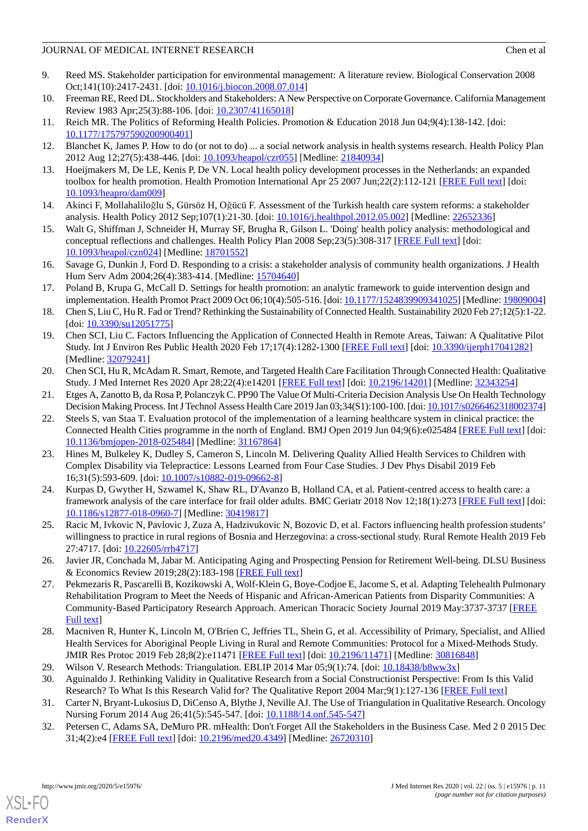- <span id="page-10-0"></span>9. Reed MS. Stakeholder participation for environmental management: A literature review. Biological Conservation 2008 Oct;141(10):2417-2431. [doi: [10.1016/j.biocon.2008.07.014](http://dx.doi.org/10.1016/j.biocon.2008.07.014)]
- <span id="page-10-2"></span><span id="page-10-1"></span>10. Freeman RE, Reed DL. Stockholders and Stakeholders: A New Perspective on Corporate Governance. California Management Review 1983 Apr;25(3):88-106. [doi: [10.2307/41165018](http://dx.doi.org/10.2307/41165018)]
- <span id="page-10-3"></span>11. Reich MR. The Politics of Reforming Health Policies. Promotion & Education 2018 Jun 04;9(4):138-142. [doi: [10.1177/175797590200900401\]](http://dx.doi.org/10.1177/175797590200900401)
- <span id="page-10-4"></span>12. Blanchet K, James P. How to do (or not to do) ... a social network analysis in health systems research. Health Policy Plan 2012 Aug 12;27(5):438-446. [doi: [10.1093/heapol/czr055\]](http://dx.doi.org/10.1093/heapol/czr055) [Medline: [21840934](http://www.ncbi.nlm.nih.gov/entrez/query.fcgi?cmd=Retrieve&db=PubMed&list_uids=21840934&dopt=Abstract)]
- <span id="page-10-5"></span>13. Hoeijmakers M, De LE, Kenis P, De VN. Local health policy development processes in the Netherlands: an expanded toolbox for health promotion. Health Promotion International Apr 25 2007 Jun;22(2):112-121 [\[FREE Full text\]](https://doi.org/10.1093/heapro/dam009) [doi: [10.1093/heapro/dam009](http://dx.doi.org/10.1093/heapro/dam009)]
- <span id="page-10-6"></span>14. Akinci F, Mollahaliloğlu S, Gürsöz H, Oğücü F. Assessment of the Turkish health care system reforms: a stakeholder analysis. Health Policy 2012 Sep;107(1):21-30. [doi: [10.1016/j.healthpol.2012.05.002](http://dx.doi.org/10.1016/j.healthpol.2012.05.002)] [Medline: [22652336](http://www.ncbi.nlm.nih.gov/entrez/query.fcgi?cmd=Retrieve&db=PubMed&list_uids=22652336&dopt=Abstract)]
- <span id="page-10-7"></span>15. Walt G, Shiffman J, Schneider H, Murray SF, Brugha R, Gilson L. 'Doing' health policy analysis: methodological and conceptual reflections and challenges. Health Policy Plan 2008 Sep;23(5):308-317 [\[FREE Full text\]](http://europepmc.org/abstract/MED/18701552) [doi: [10.1093/heapol/czn024](http://dx.doi.org/10.1093/heapol/czn024)] [Medline: [18701552\]](http://www.ncbi.nlm.nih.gov/entrez/query.fcgi?cmd=Retrieve&db=PubMed&list_uids=18701552&dopt=Abstract)
- <span id="page-10-8"></span>16. Savage G, Dunkin J, Ford D. Responding to a crisis: a stakeholder analysis of community health organizations. J Health Hum Serv Adm 2004;26(4):383-414. [Medline: [15704640\]](http://www.ncbi.nlm.nih.gov/entrez/query.fcgi?cmd=Retrieve&db=PubMed&list_uids=15704640&dopt=Abstract)
- <span id="page-10-9"></span>17. Poland B, Krupa G, McCall D. Settings for health promotion: an analytic framework to guide intervention design and implementation. Health Promot Pract 2009 Oct 06;10(4):505-516. [doi: [10.1177/1524839909341025](http://dx.doi.org/10.1177/1524839909341025)] [Medline: [19809004\]](http://www.ncbi.nlm.nih.gov/entrez/query.fcgi?cmd=Retrieve&db=PubMed&list_uids=19809004&dopt=Abstract)
- <span id="page-10-10"></span>18. Chen S, Liu C, Hu R. Fad or Trend? Rethinking the Sustainability of Connected Health. Sustainability 2020 Feb 27;12(5):1-22. [doi: [10.3390/su12051775](http://dx.doi.org/10.3390/su12051775)]
- <span id="page-10-11"></span>19. Chen SCI, Liu C. Factors Influencing the Application of Connected Health in Remote Areas, Taiwan: A Qualitative Pilot Study. Int J Environ Res Public Health 2020 Feb 17;17(4):1282-1300 [[FREE Full text](http://www.mdpi.com/resolver?pii=ijerph17041282)] [doi: [10.3390/ijerph17041282\]](http://dx.doi.org/10.3390/ijerph17041282) [Medline: [32079241](http://www.ncbi.nlm.nih.gov/entrez/query.fcgi?cmd=Retrieve&db=PubMed&list_uids=32079241&dopt=Abstract)]
- <span id="page-10-13"></span><span id="page-10-12"></span>20. Chen SCI, Hu R, McAdam R. Smart, Remote, and Targeted Health Care Facilitation Through Connected Health: Qualitative Study. J Med Internet Res 2020 Apr 28;22(4):e14201 [[FREE Full text\]](https://www.jmir.org/2020/4/e14201/) [doi: [10.2196/14201\]](http://dx.doi.org/10.2196/14201) [Medline: [32343254](http://www.ncbi.nlm.nih.gov/entrez/query.fcgi?cmd=Retrieve&db=PubMed&list_uids=32343254&dopt=Abstract)]
- 21. Etges A, Zanotto B, da Rosa P, Polanczyk C. PP90 The Value Of Multi-Criteria Decision Analysis Use On Health Technology Decision Making Process. Int J Technol Assess Health Care 2019 Jan 03;34(S1):100-100. [doi: [10.1017/s0266462318002374\]](http://dx.doi.org/10.1017/s0266462318002374)
- <span id="page-10-14"></span>22. Steels S, van Staa T. Evaluation protocol of the implementation of a learning healthcare system in clinical practice: the Connected Health Cities programme in the north of England. BMJ Open 2019 Jun 04;9(6):e025484 [\[FREE Full text](http://bmjopen.bmj.com/cgi/pmidlookup?view=long&pmid=31167864)] [doi: [10.1136/bmjopen-2018-025484\]](http://dx.doi.org/10.1136/bmjopen-2018-025484) [Medline: [31167864](http://www.ncbi.nlm.nih.gov/entrez/query.fcgi?cmd=Retrieve&db=PubMed&list_uids=31167864&dopt=Abstract)]
- <span id="page-10-15"></span>23. Hines M, Bulkeley K, Dudley S, Cameron S, Lincoln M. Delivering Quality Allied Health Services to Children with Complex Disability via Telepractice: Lessons Learned from Four Case Studies. J Dev Phys Disabil 2019 Feb 16;31(5):593-609. [doi: [10.1007/s10882-019-09662-8\]](http://dx.doi.org/10.1007/s10882-019-09662-8)
- <span id="page-10-17"></span><span id="page-10-16"></span>24. Kurpas D, Gwyther H, Szwamel K, Shaw RL, D'Avanzo B, Holland CA, et al. Patient-centred access to health care: a framework analysis of the care interface for frail older adults. BMC Geriatr 2018 Nov 12;18(1):273 [\[FREE Full text](https://bmcgeriatr.biomedcentral.com/articles/10.1186/s12877-018-0960-7)] [doi: [10.1186/s12877-018-0960-7\]](http://dx.doi.org/10.1186/s12877-018-0960-7) [Medline: [30419817](http://www.ncbi.nlm.nih.gov/entrez/query.fcgi?cmd=Retrieve&db=PubMed&list_uids=30419817&dopt=Abstract)]
- <span id="page-10-18"></span>25. Racic M, Ivkovic N, Pavlovic J, Zuza A, Hadzivukovic N, Bozovic D, et al. Factors influencing health profession students' willingness to practice in rural regions of Bosnia and Herzegovina: a cross-sectional study. Rural Remote Health 2019 Feb 27:4717. [doi: [10.22605/rrh4717\]](http://dx.doi.org/10.22605/rrh4717)
- <span id="page-10-19"></span>26. Javier JR, Conchada M, Jabar M. Anticipating Aging and Prospecting Pension for Retirement Well-being. DLSU Business & Economics Review 2019;28(2):183-198 [[FREE Full text](http://dlsuber.com/wp-content/uploads/2019/14_JAVIER-revised-021319.pdf)]
- <span id="page-10-20"></span>27. Pekmezaris R, Pascarelli B, Kozikowski A, Wolf-Klein G, Boye-Codjoe E, Jacome S, et al. Adapting Telehealth Pulmonary Rehabilitation Program to Meet the Needs of Hispanic and African-American Patients from Disparity Communities: A Community-Based Participatory Research Approach. American Thoracic Society Journal 2019 May:3737-3737 [\[FREE](https://doi.org/10.1164/ajrccm-conference.2019.199.1_MeetingAbstracts.A3737) [Full text\]](https://doi.org/10.1164/ajrccm-conference.2019.199.1_MeetingAbstracts.A3737)
- <span id="page-10-22"></span><span id="page-10-21"></span>28. Macniven R, Hunter K, Lincoln M, O'Brien C, Jeffries TL, Shein G, et al. Accessibility of Primary, Specialist, and Allied Health Services for Aboriginal People Living in Rural and Remote Communities: Protocol for a Mixed-Methods Study. JMIR Res Protoc 2019 Feb 28;8(2):e11471 [\[FREE Full text\]](https://www.researchprotocols.org/2019/2/e11471/) [doi: [10.2196/11471](http://dx.doi.org/10.2196/11471)] [Medline: [30816848](http://www.ncbi.nlm.nih.gov/entrez/query.fcgi?cmd=Retrieve&db=PubMed&list_uids=30816848&dopt=Abstract)]
- <span id="page-10-23"></span>29. Wilson V. Research Methods: Triangulation. EBLIP 2014 Mar 05;9(1):74. [doi: [10.18438/b8ww3x](http://dx.doi.org/10.18438/b8ww3x)]
- 30. Aguinaldo J. Rethinking Validity in Qualitative Research from a Social Constructionist Perspective: From Is this Valid Research? To What Is this Research Valid for? The Qualitative Report 2004 Mar;9(1):127-136 [[FREE Full text](https://www.questia.com/library/journal/1G1-172525564/rethinking-validity-in-qualitative-research-from-a)]
- 31. Carter N, Bryant-Lukosius D, DiCenso A, Blythe J, Neville AJ. The Use of Triangulation in Qualitative Research. Oncology Nursing Forum 2014 Aug 26;41(5):545-547. [doi: [10.1188/14.onf.545-547](http://dx.doi.org/10.1188/14.onf.545-547)]
- 32. Petersen C, Adams SA, DeMuro PR. mHealth: Don't Forget All the Stakeholders in the Business Case. Med 2 0 2015 Dec 31;4(2):e4 [\[FREE Full text](https://www.medicine20.com/2015/2/e4/)] [doi: [10.2196/med20.4349\]](http://dx.doi.org/10.2196/med20.4349) [Medline: [26720310](http://www.ncbi.nlm.nih.gov/entrez/query.fcgi?cmd=Retrieve&db=PubMed&list_uids=26720310&dopt=Abstract)]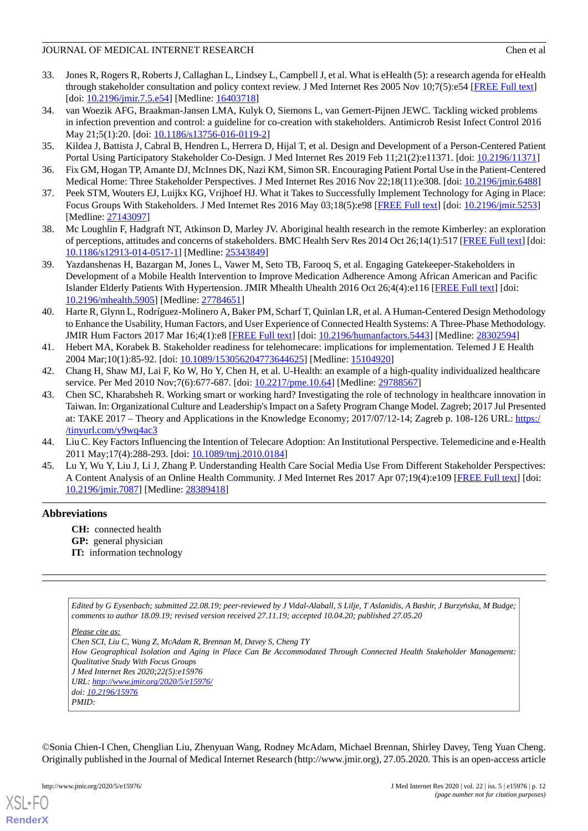- <span id="page-11-0"></span>33. Jones R, Rogers R, Roberts J, Callaghan L, Lindsey L, Campbell J, et al. What is eHealth (5): a research agenda for eHealth through stakeholder consultation and policy context review. J Med Internet Res 2005 Nov 10;7(5):e54 [\[FREE Full text](https://www.jmir.org/2005/5/e54/)] [doi: <u>[10.2196/jmir.7.5.e54](http://dx.doi.org/10.2196/jmir.7.5.e54)</u>] [Medline: [16403718](http://www.ncbi.nlm.nih.gov/entrez/query.fcgi?cmd=Retrieve&db=PubMed&list_uids=16403718&dopt=Abstract)]
- <span id="page-11-1"></span>34. van Woezik AFG, Braakman-Jansen LMA, Kulyk O, Siemons L, van Gemert-Pijnen JEWC. Tackling wicked problems in infection prevention and control: a guideline for co-creation with stakeholders. Antimicrob Resist Infect Control 2016 May 21;5(1):20. [doi: [10.1186/s13756-016-0119-2](http://dx.doi.org/10.1186/s13756-016-0119-2)]
- <span id="page-11-3"></span><span id="page-11-2"></span>35. Kildea J, Battista J, Cabral B, Hendren L, Herrera D, Hijal T, et al. Design and Development of a Person-Centered Patient Portal Using Participatory Stakeholder Co-Design. J Med Internet Res 2019 Feb 11;21(2):e11371. [doi: [10.2196/11371\]](http://dx.doi.org/10.2196/11371)
- <span id="page-11-4"></span>36. Fix GM, Hogan TP, Amante DJ, McInnes DK, Nazi KM, Simon SR. Encouraging Patient Portal Use in the Patient-Centered Medical Home: Three Stakeholder Perspectives. J Med Internet Res 2016 Nov 22;18(11):e308. [doi: [10.2196/jmir.6488](http://dx.doi.org/10.2196/jmir.6488)]
- <span id="page-11-5"></span>37. Peek STM, Wouters EJ, Luijkx KG, Vrijhoef HJ. What it Takes to Successfully Implement Technology for Aging in Place: Focus Groups With Stakeholders. J Med Internet Res 2016 May 03;18(5):e98 [\[FREE Full text\]](https://www.jmir.org/2016/5/e98/) [doi: [10.2196/jmir.5253](http://dx.doi.org/10.2196/jmir.5253)] [Medline: [27143097](http://www.ncbi.nlm.nih.gov/entrez/query.fcgi?cmd=Retrieve&db=PubMed&list_uids=27143097&dopt=Abstract)]
- 38. Mc Loughlin F, Hadgraft NT, Atkinson D, Marley JV. Aboriginal health research in the remote Kimberley: an exploration of perceptions, attitudes and concerns of stakeholders. BMC Health Serv Res 2014 Oct 26;14(1):517 [[FREE Full text](https://bmchealthservres.biomedcentral.com/articles/10.1186/s12913-014-0517-1)] [doi: [10.1186/s12913-014-0517-1\]](http://dx.doi.org/10.1186/s12913-014-0517-1) [Medline: [25343849](http://www.ncbi.nlm.nih.gov/entrez/query.fcgi?cmd=Retrieve&db=PubMed&list_uids=25343849&dopt=Abstract)]
- 39. Yazdanshenas H, Bazargan M, Jones L, Vawer M, Seto TB, Farooq S, et al. Engaging Gatekeeper-Stakeholders in Development of a Mobile Health Intervention to Improve Medication Adherence Among African American and Pacific Islander Elderly Patients With Hypertension. JMIR Mhealth Uhealth 2016 Oct 26;4(4):e116 [\[FREE Full text\]](https://mhealth.jmir.org/2016/4/e116/) [doi: [10.2196/mhealth.5905](http://dx.doi.org/10.2196/mhealth.5905)] [Medline: [27784651](http://www.ncbi.nlm.nih.gov/entrez/query.fcgi?cmd=Retrieve&db=PubMed&list_uids=27784651&dopt=Abstract)]
- <span id="page-11-6"></span>40. Harte R, Glynn L, Rodríguez-Molinero A, Baker PM, Scharf T, Quinlan LR, et al. A Human-Centered Design Methodology to Enhance the Usability, Human Factors, and User Experience of Connected Health Systems: A Three-Phase Methodology. JMIR Hum Factors 2017 Mar 16;4(1):e8 [\[FREE Full text\]](https://humanfactors.jmir.org/2017/1/e8/) [doi: [10.2196/humanfactors.5443\]](http://dx.doi.org/10.2196/humanfactors.5443) [Medline: [28302594\]](http://www.ncbi.nlm.nih.gov/entrez/query.fcgi?cmd=Retrieve&db=PubMed&list_uids=28302594&dopt=Abstract)
- <span id="page-11-9"></span><span id="page-11-7"></span>41. Hebert MA, Korabek B. Stakeholder readiness for telehomecare: implications for implementation. Telemed J E Health 2004 Mar;10(1):85-92. [doi: [10.1089/153056204773644625\]](http://dx.doi.org/10.1089/153056204773644625) [Medline: [15104920\]](http://www.ncbi.nlm.nih.gov/entrez/query.fcgi?cmd=Retrieve&db=PubMed&list_uids=15104920&dopt=Abstract)
- 42. Chang H, Shaw MJ, Lai F, Ko W, Ho Y, Chen H, et al. U-Health: an example of a high-quality individualized healthcare service. Per Med 2010 Nov;7(6):677-687. [doi: [10.2217/pme.10.64\]](http://dx.doi.org/10.2217/pme.10.64) [Medline: [29788567](http://www.ncbi.nlm.nih.gov/entrez/query.fcgi?cmd=Retrieve&db=PubMed&list_uids=29788567&dopt=Abstract)]
- <span id="page-11-8"></span>43. Chen SC, Kharabsheh R. Working smart or working hard? Investigating the role of technology in healthcare innovation in Taiwan. In: Organizational Culture and Leadership's Impact on a Safety Program Change Model. Zagreb; 2017 Jul Presented at: TAKE 2017 – Theory and Applications in the Knowledge Economy; 2017/07/12-14; Zagreb p. 108-126 URL: [https:/](https://tinyurl.com/y9wq4ac3) [/tinyurl.com/y9wq4ac3](https://tinyurl.com/y9wq4ac3)
- <span id="page-11-10"></span>44. Liu C. Key Factors Influencing the Intention of Telecare Adoption: An Institutional Perspective. Telemedicine and e-Health 2011 May;17(4):288-293. [doi: [10.1089/tmj.2010.0184\]](http://dx.doi.org/10.1089/tmj.2010.0184)
- 45. Lu Y, Wu Y, Liu J, Li J, Zhang P. Understanding Health Care Social Media Use From Different Stakeholder Perspectives: A Content Analysis of an Online Health Community. J Med Internet Res 2017 Apr 07;19(4):e109 [\[FREE Full text\]](https://www.jmir.org/2017/4/e109/) [doi: [10.2196/jmir.7087](http://dx.doi.org/10.2196/jmir.7087)] [Medline: [28389418](http://www.ncbi.nlm.nih.gov/entrez/query.fcgi?cmd=Retrieve&db=PubMed&list_uids=28389418&dopt=Abstract)]

## **Abbreviations**

**CH:** connected health **GP:** general physician **IT:** information technology

*Edited by G Eysenbach; submitted 22.08.19; peer-reviewed by J Vidal-Alaball, S Lilje, T Aslanidis, A Bashir, J Burzy*ń*ska, M Budge; comments to author 18.09.19; revised version received 27.11.19; accepted 10.04.20; published 27.05.20*

*Please cite as:*

*Chen SCI, Liu C, Wang Z, McAdam R, Brennan M, Davey S, Cheng TY How Geographical Isolation and Aging in Place Can Be Accommodated Through Connected Health Stakeholder Management:*

*Qualitative Study With Focus Groups*

*J Med Internet Res 2020;22(5):e15976*

*URL: <http://www.jmir.org/2020/5/e15976/> doi: [10.2196/15976](http://dx.doi.org/10.2196/15976)*

*PMID:*

©Sonia Chien-I Chen, Chenglian Liu, Zhenyuan Wang, Rodney McAdam, Michael Brennan, Shirley Davey, Teng Yuan Cheng. Originally published in the Journal of Medical Internet Research (http://www.jmir.org), 27.05.2020. This is an open-access article